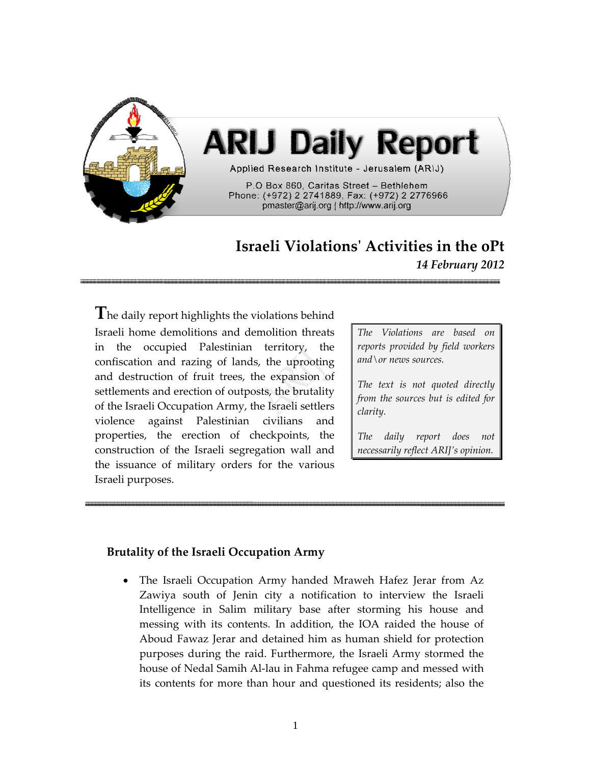

## **Israeli Violationsʹ Activities in the oPt** *14 February 2012*

**T**he daily report highlights the violations behind Israeli home demolitions and demolition threats in the occupied Palestinian territory, the confiscation and razing of lands, the uprooting and destruction of fruit trees, the expansion of settlements and erection of outposts, the brutality of the Israeli Occupation Army, the Israeli settlers violence against Palestinian civilians and properties, the erection of checkpoints, the construction of the Israeli segregation wall and the issuance of military orders for the various Israeli purposes.

*The Violations are based on reports provided by field workers and\or news sources.*

*The text is not quoted directly from the sources but is edited for clarity.*

*The daily report does not necessarily reflect ARIJ's opinion.*

## **Brutality of the Israeli Occupation Army**

• The Israeli Occupation Army handed Mraweh Hafez Jerar from Az Zawiya south of Jenin city a notification to interview the Israeli Intelligence in Salim military base after storming his house and messing with its contents. In addition, the IOA raided the house of Aboud Fawaz Jerar and detained him as human shield for protection purposes during the raid. Furthermore, the Israeli Army stormed the house of Nedal Samih Al‐lau in Fahma refugee camp and messed with its contents for more than hour and questioned its residents; also the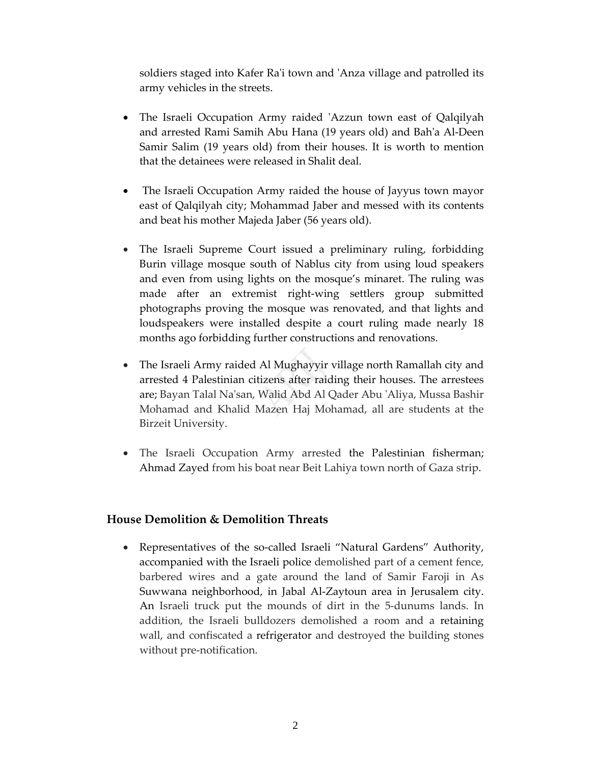soldiers staged into Kafer Ra'i town and 'Anza village and patrolled its army vehicles in the streets.

- The Israeli Occupation Army raided 'Azzun town east of Qalqilyah and arrested Rami Samih Abu Hana (19 years old) and Bahʹa Al‐Deen Samir Salim (19 years old) from their houses. It is worth to mention that the detainees were released in Shalit deal.
- The Israeli Occupation Army raided the house of Jayyus town mayor east of Qalqilyah city; Mohammad Jaber and messed with its contents and beat his mother Majeda Jaber (56 years old).
- The Israeli Supreme Court issued a preliminary ruling, forbidding Burin village mosque south of Nablus city from using loud speakers and even from using lights on the mosque's minaret. The ruling was made after an extremist right‐wing settlers group submitted photographs proving the mosque was renovated, and that lights and loudspeakers were installed despite a court ruling made nearly 18 months ago forbidding further constructions and renovations.
- The Israeli Army raided Al Mughayyir village north Ramallah city and arrested 4 Palestinian citizens after raiding their houses. The arrestees are; Bayan Talal Naʹsan, Walid Abd Al Qader Abu ʹAliya, Mussa Bashir Mohamad and Khalid Mazen Haj Mohamad, all are students at the Birzeit University.
- The Israeli Occupation Army arrested the Palestinian fisherman; Ahmad Zayed from his boat near Beit Lahiya town north of Gaza strip.

## **House Demolition & Demolition Threats**

Representatives of the so-called Israeli "Natural Gardens" Authority, accompanied with the Israeli police demolished part of a cement fence, barbered wires and a gate around the land of Samir Faroji in As Suwwana neighborhood, in Jabal Al‐Zaytoun area in Jerusalem city. An Israeli truck put the mounds of dirt in the 5‐dunums lands. In addition, the Israeli bulldozers demolished a room and a retaining wall, and confiscated a refrigerator and destroyed the building stones without pre-notification.